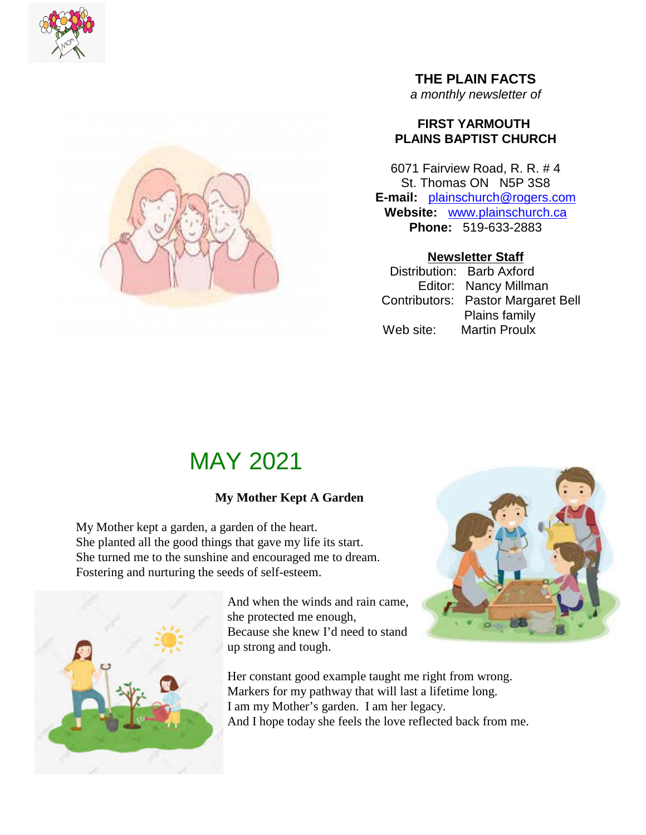



### **THE PLAIN FACTS** *a monthly newsletter of*

### **FIRST YARMOUTH PLAINS BAPTIST CHURCH**

6071 Fairview Road, R. R. # 4 St. Thomas ON N5P 3S8 **E-mail:** plainschurch@rogers.com **Website:** www.plainschurch.ca **Phone:** 519-633-2883

### **Newsletter Staff**

Distribution: Barb Axford Editor: Nancy Millman Contributors: Pastor Margaret Bell Plains family Web site: Martin Proulx

# MAY 2021

## **My Mother Kept A Garden**

My Mother kept a garden, a garden of the heart. She planted all the good things that gave my life its start. She turned me to the sunshine and encouraged me to dream. Fostering and nurturing the seeds of self-esteem.



And when the winds and rain came, she protected me enough, Because she knew I'd need to stand up strong and tough.

Her constant good example taught me right from wrong. Markers for my pathway that will last a lifetime long. I am my Mother's garden. I am her legacy. And I hope today she feels the love reflected back from me.

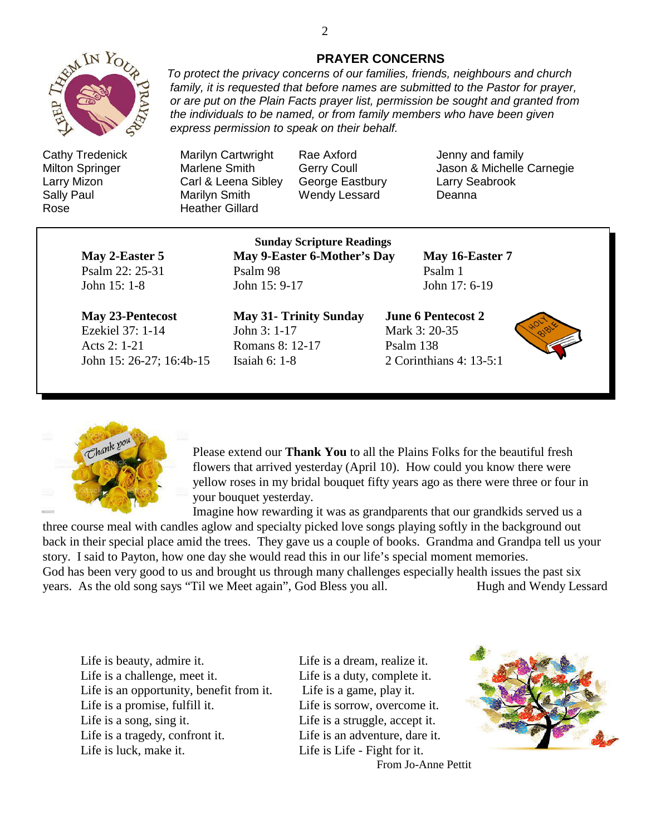

Rose **Heather Gillard** 

#### **PRAYER CONCERNS**

*To protect the privacy concerns of our families, friends, neighbours and church family, it is requested that before names are submitted to the Pastor for prayer, or are put on the Plain Facts prayer list, permission be sought and granted from the individuals to be named, or from family members who have been given express permission to speak on their behalf.*

Cathy Tredenick Marilyn Cartwright Rae Axford Jenny and family Larry Mizon Carl & Leena Sibley George Eastbury Larry Seabrook Sally Paul **Marilyn Smith** Wendy Lessard Deanna

Milton Springer Marlene Smith Gerry Coull Jason & Michelle Carnegie

**May 2-Easter 5 May 9-Easter 6-Mother's Day May 16-Easter 7** Psalm 22: 25-31 Psalm 98 Psalm 1 John 15: 1-8 John 15: 9-17 John 17: 6-19

**Sunday Scripture Readings**

Ezekiel 37: 1-14 John 3: 1-17 Mark 3: 20-35 Acts 2: 1-21 Romans 8: 12-17 Psalm 138 John 15: 26-27; 16:4b-15 Isaiah 6: 1-8 2 Corinthians 4: 13-5:1

**May 23-Pentecost May 31- Trinity Sunday June 6 Pentecost 2**





Please extend our **Thank You** to all the Plains Folks for the beautiful fresh flowers that arrived yesterday (April 10). How could you know there were yellow roses in my bridal bouquet fifty years ago as there were three or four in your bouquet yesterday.

Imagine how rewarding it was as grandparents that our grandkids served us a

three course meal with candles aglow and specialty picked love songs playing softly in the background out back in their special place amid the trees. They gave us a couple of books. Grandma and Grandpa tell us your story. I said to Payton, how one day she would read this in our life's special moment memories. God has been very good to us and brought us through many challenges especially health issues the past six years. As the old song says "Til we Meet again", God Bless you all. Hugh and Wendy Lessard

Life is beauty, admire it. Life is a dream, realize it. Life is a challenge, meet it. Life is a duty, complete it. Life is an opportunity, benefit from it. Life is a game, play it. Life is a promise, fulfill it. Life is sorrow, overcome it. Life is a song, sing it. Life is a struggle, accept it. Life is a tragedy, confront it. Life is an adventure, dare it. Life is luck, make it. Life is Life - Fight for it.

From Jo-Anne Pettit

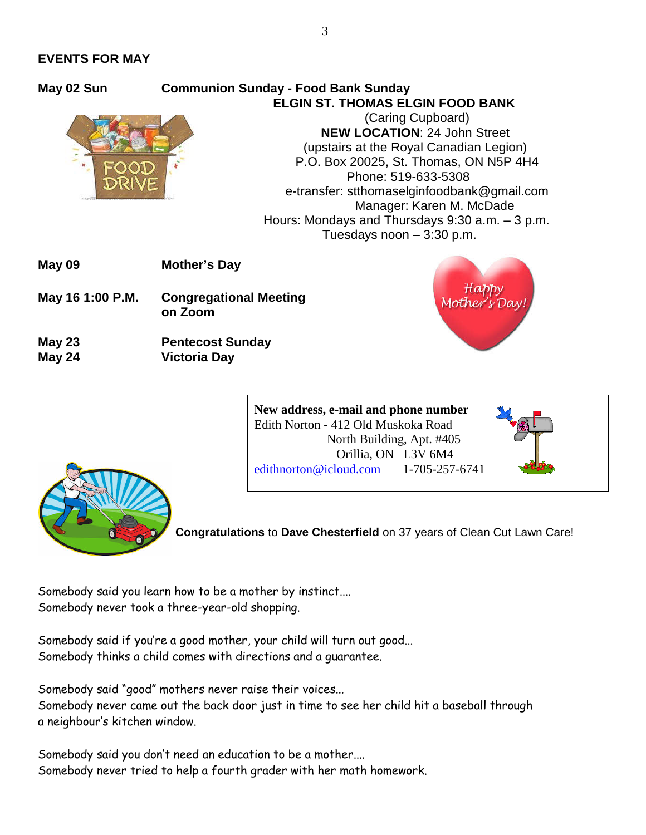#### **EVENTS FOR MAY**



### **May 02 Sun Communion Sunday - Food Bank Sunday ELGIN ST. THOMAS ELGIN FOOD BANK**

(Caring Cupboard) **NEW LOCATION**: 24 John Street (upstairs at the Royal Canadian Legion) P.O. Box 20025, St. Thomas, ON N5P 4H4 Phone: 519-633-5308 e-transfer: stthomaselginfoodbank@gmail.com Manager: Karen M. McDade Hours: Mondays and Thursdays 9:30 a.m. – 3 p.m. Tuesdays noon – 3:30 p.m.

**May 09 Mother's Day**

- **May 16 1:00 P.M. Congregational Meeting on Zoom**
- **May 23 Pentecost Sunday May 24 Victoria Day**



**New address, e-mail and phone number** Edith Norton - 412 Old Muskoka Road North Building, Apt. #405 Orillia, ON L3V 6M4 edithnorton@icloud.com 1-705-257-6741



**Congratulations** to **Dave Chesterfield** on 37 years of Clean Cut Lawn Care!

Somebody said you learn how to be a mother by instinct.... Somebody never took a three-year-old shopping.

Somebody said if you're a good mother, your child will turn out good... Somebody thinks a child comes with directions and a guarantee.

Somebody said "good" mothers never raise their voices... Somebody never came out the back door just in time to see her child hit a baseball through a neighbour's kitchen window.

Somebody said you don't need an education to be a mother.... Somebody never tried to help a fourth grader with her math homework.

3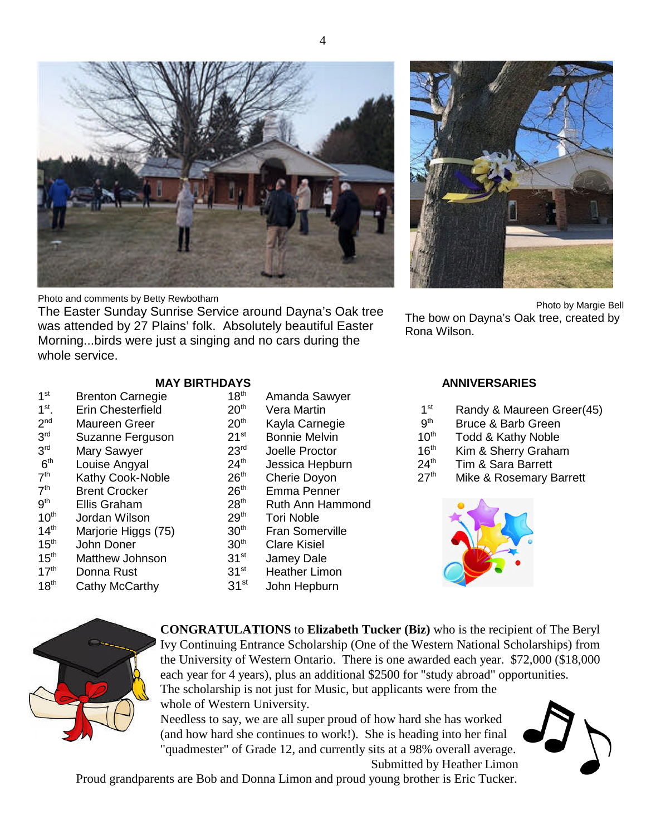Photo and comments by Betty Rewbotham

The Easter Sunday Sunrise Service around Dayna's Oak tree was attended by 27 Plains' folk. Absolutely beautiful Easter Morning...birds were just a singing and no cars during the whole service.

#### **MAY BIRTHDAYS ANNIVERSARIES**

- **Brenton Carnegie** Erin Chesterfield 20<sup>th</sup> Vera Martin 1st Randy & Maureen Greer(45)<br>Maureen Greer 20<sup>th</sup> Kavla Carnegie 19th Rruce & Barb Green Maureen Greer Suzanne Ferguson 21<sup>st</sup> Bonnie Melvin 10<sup>th</sup> Todd & Kathy Noble Louise Angyal 24<sup>th</sup> Jessica Hepburn 24<sup>th</sup> Tim & Sara Barrett **Brent Crocker** Ellis Graham 28<sup>th</sup> Ruth Ann Hammond  $10<sup>th</sup>$  Jordan Wilson
- 14<sup>th</sup> Marjorie Higgs (75)
- $15<sup>th</sup>$  John Doner

 $1<sup>st</sup>$ 

 $1<sup>st</sup>$ .

 $2<sup>nd</sup>$ 

 $3<sup>rd</sup>$ 

 $3<sup>rd</sup>$ 

 $6<sup>th</sup>$ 

 $7<sup>th</sup>$ 

 $7<sup>th</sup>$ 

 $9<sup>th</sup>$ 

- 15<sup>th</sup> Matthew Johnson
- 17<sup>th</sup> Donna Rust 31<sup>st</sup> Heather Limon
- 18<sup>th</sup> Cathy McCarthy 31<sup>st</sup> John Hepburn
	- **CONGRATULATIONS** to **Elizabeth Tucker (Biz)** who is the recipient of The Beryl Ivy Continuing Entrance Scholarship (One of the Western National Scholarships) from the University of Western Ontario. There is one awarded each year. \$72,000 (\$18,000 each year for 4 years), plus an additional \$2500 for "study abroad" opportunities. The scholarship is not just for Music, but applicants were from the whole of Western University. Needless to say, we are all super proud of how hard she has worked

(and how hard she continues to work!). She is heading into her final "quadmester" of Grade 12, and currently sits at a 98% overall average.

Submitted by Heather Limon Proud grandparents are Bob and Donna Limon and proud young brother is Eric Tucker.

| 18"'               | Amanda Sawyer          |
|--------------------|------------------------|
| $20^{\sf th}$      | Vera Martin            |
| $20^{\sf th}$      | Kayla Carnegie         |
| $21^{\rm st}$      | <b>Bonnie Melvin</b>   |
| $23^{\mathsf{rd}}$ | Joelle Proctor         |
| $24^{\text{th}}$   | Jessica Hepburn        |
| $26^{\sf th}$      | <b>Cherie Doyon</b>    |
| $26^{\sf th}$      | Emma Penner            |
| 28 <sup>th</sup>   | Ruth Ann Hammor        |
| $29^{\sf th}$      | <b>Tori Noble</b>      |
| $30^{\sf th}$      | <b>Fran Somerville</b> |
| $30^{\sf th}$      | <b>Clare Kisiel</b>    |
| $31^{st}$          | Jamey Dale             |
|                    |                        |



Photo by Margie Bell The bow on Dayna's Oak tree, created by Rona Wilson.

- 
- Bruce & Barb Green
- 
- Mary Sawyer  $23^{\text{rd}}$  Joelle Proctor  $16^{\text{th}}$  Kim & Sherry Graham
	-
- Kathy Cook-Noble  $26<sup>th</sup>$  Cherie Doyon  $27<sup>th</sup>$  Mike & Rosemary Barrett







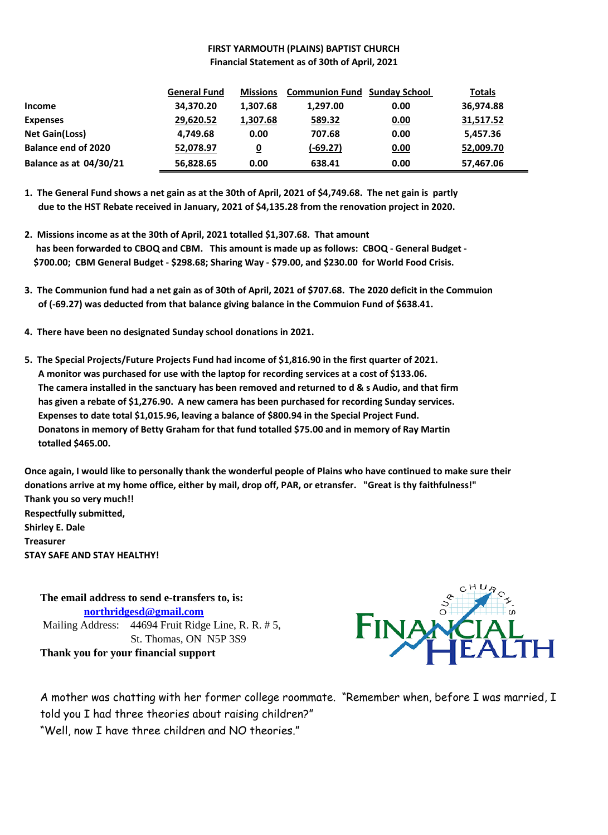#### **FIRST YARMOUTH (PLAINS) BAPTIST CHURCH Financial Statement as of 30th of April, 2021**

|                               | <b>General Fund</b> | <b>Missions</b> | <b>Communion Fund Sunday School</b> |      | Totals    |
|-------------------------------|---------------------|-----------------|-------------------------------------|------|-----------|
| <b>Income</b>                 | 34,370.20           | 1,307.68        | 1,297.00                            | 0.00 | 36,974.88 |
| <b>Expenses</b>               | 29,620.52           | 1,307.68        | 589.32                              | 0.00 | 31,517.52 |
| <b>Net Gain(Loss)</b>         | 4,749.68            | 0.00            | 707.68                              | 0.00 | 5,457.36  |
| <b>Balance end of 2020</b>    | 52,078.97           | 0               | $(-69.27)$                          | 0.00 | 52,009.70 |
| <b>Balance as at 04/30/21</b> | 56,828.65           | 0.00            | 638.41                              | 0.00 | 57,467.06 |

**1. The General Fund shows a net gain as at the 30th of April, 2021 of \$4,749.68. The net gain is partly due to the HST Rebate received in January, 2021 of \$4,135.28 from the renovation project in 2020.**

- **2. Missions income as at the 30th of April, 2021 totalled \$1,307.68. That amount has been forwarded to CBOQ and CBM. This amount is made up as follows: CBOQ - General Budget - \$700.00; CBM General Budget - \$298.68; Sharing Way - \$79.00, and \$230.00 for World Food Crisis.**
- **3. The Communion fund had a net gain as of 30th of April, 2021 of \$707.68. The 2020 deficit in the Commuion of (-69.27) was deducted from that balance giving balance in the Commuion Fund of \$638.41.**
- **4. There have been no designated Sunday school donations in 2021.**
- **5. The Special Projects/Future Projects Fund had income of \$1,816.90 in the first quarter of 2021. A monitor was purchased for use with the laptop for recording services at a cost of \$133.06. The camera installed in the sanctuary has been removed and returned to d & s Audio, and that firm has given a rebate of \$1,276.90. A new camera has been purchased for recording Sunday services. Expenses to date total \$1,015.96, leaving a balance of \$800.94 in the Special Project Fund. Donatons in memory of Betty Graham for that fund totalled \$75.00 and in memory of Ray Martin totalled \$465.00.**

**Once again, I would like to personally thank the wonderful people of Plains who have continued to make sure their donations arrive at my home office, either by mail, drop off, PAR, or etransfer. "Great is thy faithfulness!" Thank you so very much!! Respectfully submitted,**

**Shirley E. Dale Treasurer STAY SAFE AND STAY HEALTHY!**

> **The email address to send e-transfers to, is: northridgesd@gmail.com** Mailing Address: 44694 Fruit Ridge Line, R. R. # 5, St. Thomas, ON N5P 3S9 **Thank you for your financial support**



A mother was chatting with her former college roommate. "Remember when, before I was married, I told you I had three theories about raising children?" "Well, now I have three children and NO theories."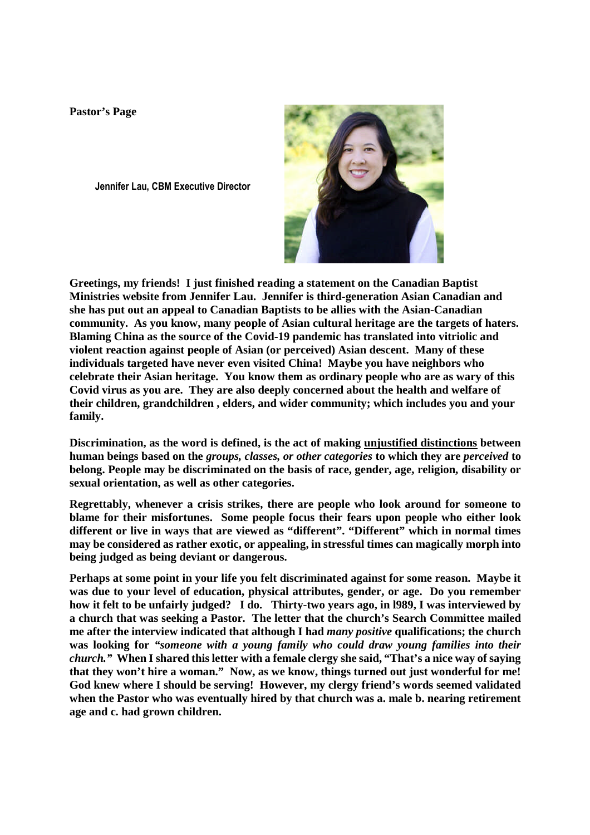**Pastor's Page**

**Jennifer Lau, CBM Executive Director**



**Greetings, my friends! I just finished reading a statement on the Canadian Baptist Ministries website from Jennifer Lau. Jennifer is third-generation Asian Canadian and she has put out an appeal to Canadian Baptists to be allies with the Asian-Canadian community. As you know, many people of Asian cultural heritage are the targets of haters. Blaming China as the source of the Covid-19 pandemic has translated into vitriolic and violent reaction against people of Asian (or perceived) Asian descent. Many of these individuals targeted have never even visited China! Maybe you have neighbors who celebrate their Asian heritage. You know them as ordinary people who are as wary of this Covid virus as you are. They are also deeply concerned about the health and welfare of their children, grandchildren , elders, and wider community; which includes you and your family.**

**Discrimination, as the word is defined, is the act of making unjustified distinctions between human beings based on the** *groups, classes, or other categories* **to which they are** *perceived* **to belong. People may be discriminated on the basis of race, gender, age, religion, disability or sexual orientation, as well as other categories.**

**Regrettably, whenever a crisis strikes, there are people who look around for someone to blame for their misfortunes. Some people focus their fears upon people who either look different or live in ways that are viewed as "different". "Different" which in normal times may be considered as rather exotic, or appealing, in stressful times can magically morph into being judged as being deviant or dangerous.**

**Perhaps at some point in your life you felt discriminated against for some reason. Maybe it was due to your level of education, physical attributes, gender, or age. Do you remember how it felt to be unfairly judged? I do. Thirty-two years ago, in l989, I was interviewed by a church that was seeking a Pastor. The letter that the church's Search Committee mailed me after the interview indicated that although I had** *many positive* **qualifications; the church was looking for** *"someone with a young family who could draw young families into their church."* **When I shared this letter with a female clergy she said, "That's a nice way of saying that they won't hire a woman." Now, as we know, things turned out just wonderful for me! God knew where I should be serving! However, my clergy friend's words seemed validated when the Pastor who was eventually hired by that church was a. male b. nearing retirement age and c. had grown children.**